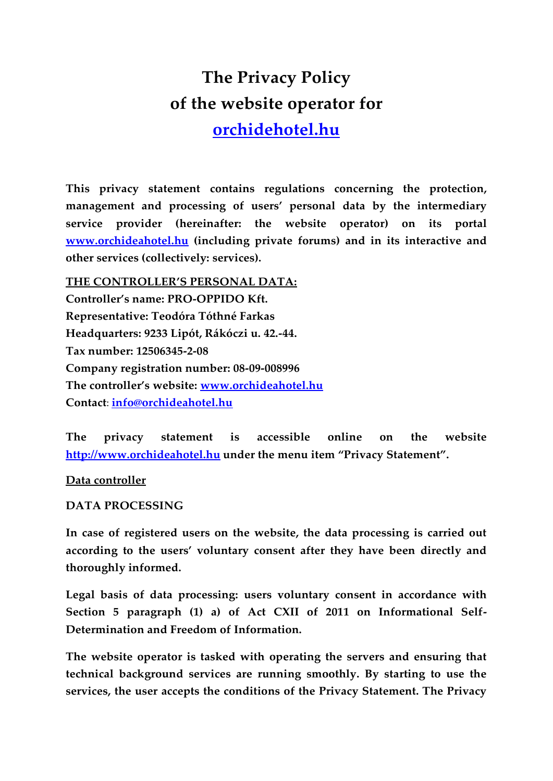# **The Privacy Policy of the website operator for [orchidehotel.hu](http://orchidehotel.hu/)**

**This privacy statement contains regulations concerning the protection, management and processing of users' personal data by the intermediary service provider (hereinafter: the website operator) on its portal [www.orchideahotel.hu](http://www.orchideahotel.hu/) (including private forums) and in its interactive and other services (collectively: services).**

**THE CONTROLLER'S PERSONAL DATA: Controller's name: PRO-OPPIDO Kft. Representative: Teodóra Tóthné Farkas Headquarters: 9233 Lipót, Rákóczi u. 42.-44. Tax number: 12506345-2-08 Company registration number: 08-09-008996 The controller's website: [www.orchideahotel.hu](http://www.orchideahotel.hu/)  Contact**: **[info@orchideahotel.hu](mailto:info@orchideahotel.hu)**

**The privacy statement is accessible online on the website [http://www.orchideahotel.hu](http://www.orchideahotel.hu/) under the menu item "Privacy Statement".**

**Data controller**

**DATA PROCESSING**

**In case of registered users on the website, the data processing is carried out according to the users' voluntary consent after they have been directly and thoroughly informed.**

**Legal basis of data processing: users voluntary consent in accordance with Section 5 paragraph (1) a) of Act CXII of 2011 on Informational Self-Determination and Freedom of Information.**

**The website operator is tasked with operating the servers and ensuring that technical background services are running smoothly. By starting to use the services, the user accepts the conditions of the Privacy Statement. The Privacy**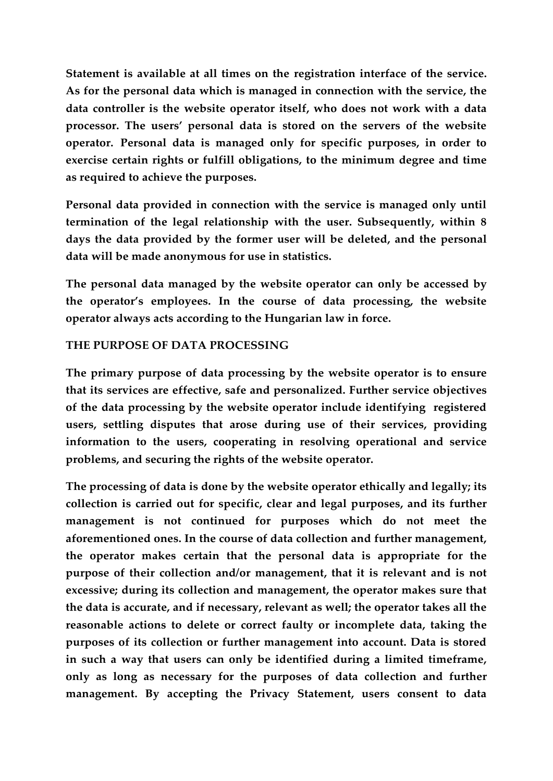**Statement is available at all times on the registration interface of the service. As for the personal data which is managed in connection with the service, the data controller is the website operator itself, who does not work with a data processor. The users' personal data is stored on the servers of the website operator. Personal data is managed only for specific purposes, in order to exercise certain rights or fulfill obligations, to the minimum degree and time as required to achieve the purposes.**

**Personal data provided in connection with the service is managed only until termination of the legal relationship with the user. Subsequently, within 8 days the data provided by the former user will be deleted, and the personal data will be made anonymous for use in statistics.**

**The personal data managed by the website operator can only be accessed by the operator's employees. In the course of data processing, the website operator always acts according to the Hungarian law in force.**

## **THE PURPOSE OF DATA PROCESSING**

**The primary purpose of data processing by the website operator is to ensure that its services are effective, safe and personalized. Further service objectives of the data processing by the website operator include identifying registered users, settling disputes that arose during use of their services, providing information to the users, cooperating in resolving operational and service problems, and securing the rights of the website operator.**

**The processing of data is done by the website operator ethically and legally; its collection is carried out for specific, clear and legal purposes, and its further management is not continued for purposes which do not meet the aforementioned ones. In the course of data collection and further management, the operator makes certain that the personal data is appropriate for the purpose of their collection and/or management, that it is relevant and is not excessive; during its collection and management, the operator makes sure that the data is accurate, and if necessary, relevant as well; the operator takes all the reasonable actions to delete or correct faulty or incomplete data, taking the purposes of its collection or further management into account. Data is stored in such a way that users can only be identified during a limited timeframe, only as long as necessary for the purposes of data collection and further management. By accepting the Privacy Statement, users consent to data**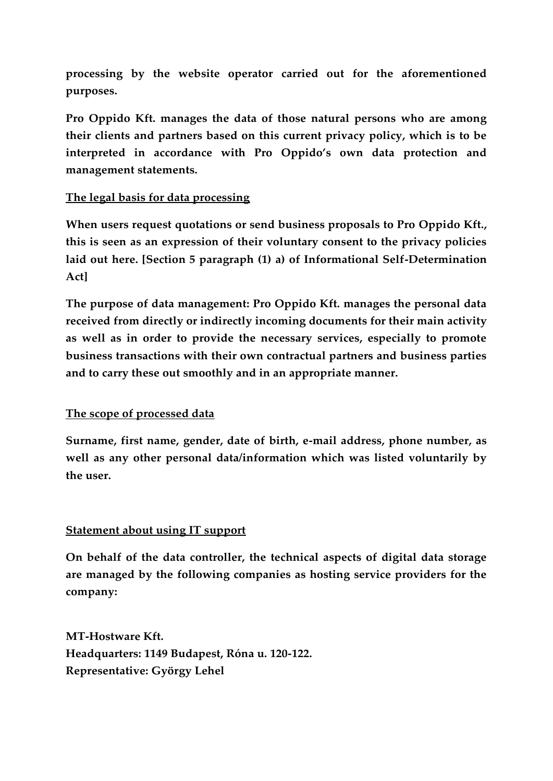**processing by the website operator carried out for the aforementioned purposes.** 

**Pro Oppido Kft. manages the data of those natural persons who are among their clients and partners based on this current privacy policy, which is to be interpreted in accordance with Pro Oppido's own data protection and management statements.**

# **The legal basis for data processing**

**When users request quotations or send business proposals to Pro Oppido Kft., this is seen as an expression of their voluntary consent to the privacy policies laid out here. [Section 5 paragraph (1) a) of Informational Self-Determination Act]** 

**The purpose of data management: Pro Oppido Kft. manages the personal data received from directly or indirectly incoming documents for their main activity as well as in order to provide the necessary services, especially to promote business transactions with their own contractual partners and business parties and to carry these out smoothly and in an appropriate manner.**

## **The scope of processed data**

**Surname, first name, gender, date of birth, e-mail address, phone number, as well as any other personal data/information which was listed voluntarily by the user.**

## **Statement about using IT support**

**On behalf of the data controller, the technical aspects of digital data storage are managed by the following companies as hosting service providers for the company:**

**MT-Hostware Kft. Headquarters: 1149 Budapest, Róna u. 120-122. Representative: György Lehel**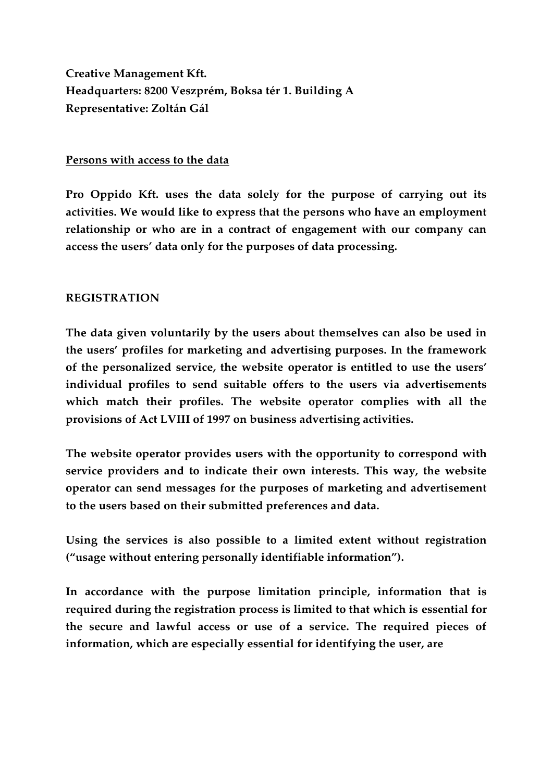**Creative Management Kft. Headquarters: 8200 Veszprém, Boksa tér 1. Building A Representative: Zoltán Gál**

## **Persons with access to the data**

**Pro Oppido Kft. uses the data solely for the purpose of carrying out its activities. We would like to express that the persons who have an employment relationship or who are in a contract of engagement with our company can access the users' data only for the purposes of data processing.**

## **REGISTRATION**

**The data given voluntarily by the users about themselves can also be used in the users' profiles for marketing and advertising purposes. In the framework of the personalized service, the website operator is entitled to use the users' individual profiles to send suitable offers to the users via advertisements which match their profiles. The website operator complies with all the provisions of Act LVIII of 1997 on business advertising activities.**

**The website operator provides users with the opportunity to correspond with service providers and to indicate their own interests. This way, the website operator can send messages for the purposes of marketing and advertisement to the users based on their submitted preferences and data.**

**Using the services is also possible to a limited extent without registration ("usage without entering personally identifiable information").**

**In accordance with the purpose limitation principle, information that is required during the registration process is limited to that which is essential for the secure and lawful access or use of a service. The required pieces of information, which are especially essential for identifying the user, are**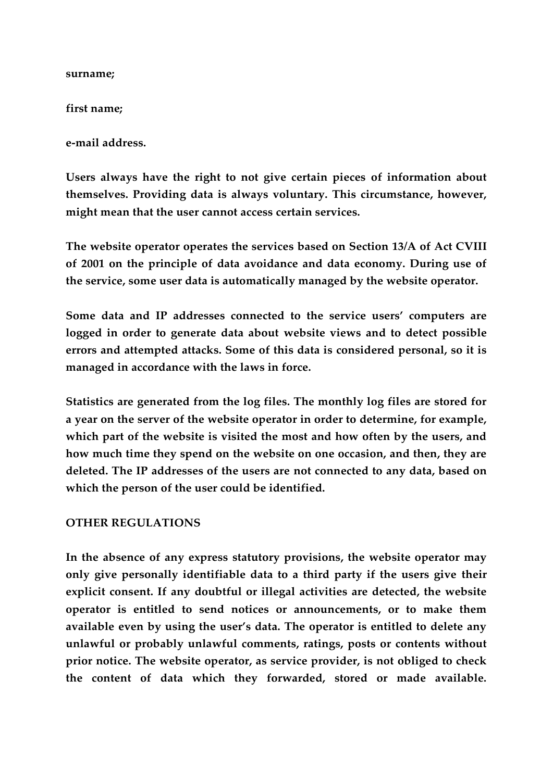#### **surname;**

### **first name;**

**e-mail address.**

**Users always have the right to not give certain pieces of information about themselves. Providing data is always voluntary. This circumstance, however, might mean that the user cannot access certain services.**

**The website operator operates the services based on Section 13/A of Act CVIII of 2001 on the principle of data avoidance and data economy. During use of the service, some user data is automatically managed by the website operator.**

**Some data and IP addresses connected to the service users' computers are logged in order to generate data about website views and to detect possible errors and attempted attacks. Some of this data is considered personal, so it is managed in accordance with the laws in force.**

**Statistics are generated from the log files. The monthly log files are stored for a year on the server of the website operator in order to determine, for example, which part of the website is visited the most and how often by the users, and how much time they spend on the website on one occasion, and then, they are deleted. The IP addresses of the users are not connected to any data, based on which the person of the user could be identified.**

## **OTHER REGULATIONS**

**In the absence of any express statutory provisions, the website operator may only give personally identifiable data to a third party if the users give their explicit consent. If any doubtful or illegal activities are detected, the website operator is entitled to send notices or announcements, or to make them available even by using the user's data. The operator is entitled to delete any unlawful or probably unlawful comments, ratings, posts or contents without prior notice. The website operator, as service provider, is not obliged to check the content of data which they forwarded, stored or made available.**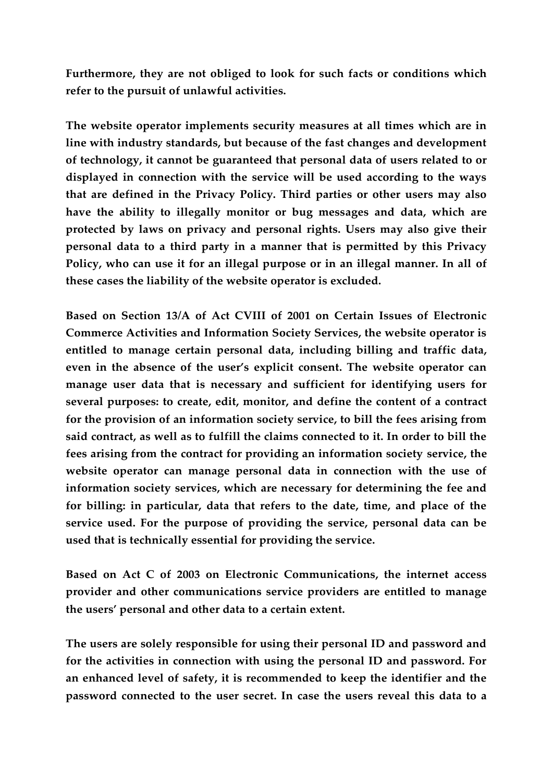**Furthermore, they are not obliged to look for such facts or conditions which refer to the pursuit of unlawful activities.**

**The website operator implements security measures at all times which are in line with industry standards, but because of the fast changes and development of technology, it cannot be guaranteed that personal data of users related to or displayed in connection with the service will be used according to the ways that are defined in the Privacy Policy. Third parties or other users may also have the ability to illegally monitor or bug messages and data, which are protected by laws on privacy and personal rights. Users may also give their personal data to a third party in a manner that is permitted by this Privacy Policy, who can use it for an illegal purpose or in an illegal manner. In all of these cases the liability of the website operator is excluded.** 

**Based on Section 13/A of Act CVIII of 2001 on Certain Issues of Electronic Commerce Activities and Information Society Services, the website operator is entitled to manage certain personal data, including billing and traffic data, even in the absence of the user's explicit consent. The website operator can manage user data that is necessary and sufficient for identifying users for several purposes: to create, edit, monitor, and define the content of a contract for the provision of an information society service, to bill the fees arising from said contract, as well as to fulfill the claims connected to it. In order to bill the fees arising from the contract for providing an information society service, the website operator can manage personal data in connection with the use of information society services, which are necessary for determining the fee and for billing: in particular, data that refers to the date, time, and place of the service used. For the purpose of providing the service, personal data can be used that is technically essential for providing the service.**

**Based on Act C of 2003 on Electronic Communications, the internet access provider and other communications service providers are entitled to manage the users' personal and other data to a certain extent.**

**The users are solely responsible for using their personal ID and password and for the activities in connection with using the personal ID and password. For an enhanced level of safety, it is recommended to keep the identifier and the password connected to the user secret. In case the users reveal this data to a**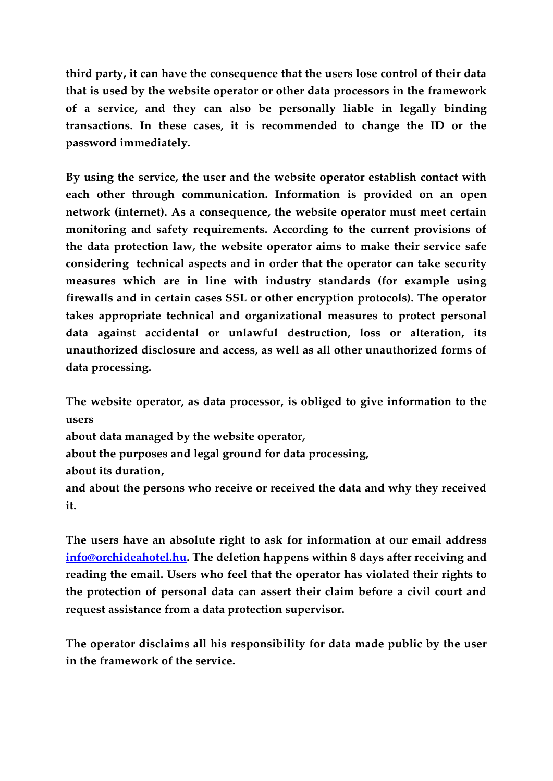**third party, it can have the consequence that the users lose control of their data that is used by the website operator or other data processors in the framework of a service, and they can also be personally liable in legally binding transactions. In these cases, it is recommended to change the ID or the password immediately.** 

**By using the service, the user and the website operator establish contact with each other through communication. Information is provided on an open network (internet). As a consequence, the website operator must meet certain monitoring and safety requirements. According to the current provisions of the data protection law, the website operator aims to make their service safe considering technical aspects and in order that the operator can take security measures which are in line with industry standards (for example using firewalls and in certain cases SSL or other encryption protocols). The operator takes appropriate technical and organizational measures to protect personal data against accidental or unlawful destruction, loss or alteration, its unauthorized disclosure and access, as well as all other unauthorized forms of data processing.**

**The website operator, as data processor, is obliged to give information to the users about data managed by the website operator, about the purposes and legal ground for data processing, about its duration, and about the persons who receive or received the data and why they received it.**

**The users have an absolute right to ask for information at our email address [info@orchideahotel.hu.](mailto:info@orchideahotel.hu) The deletion happens within 8 days after receiving and reading the email. Users who feel that the operator has violated their rights to the protection of personal data can assert their claim before a civil court and request assistance from a data protection supervisor.**

**The operator disclaims all his responsibility for data made public by the user in the framework of the service.**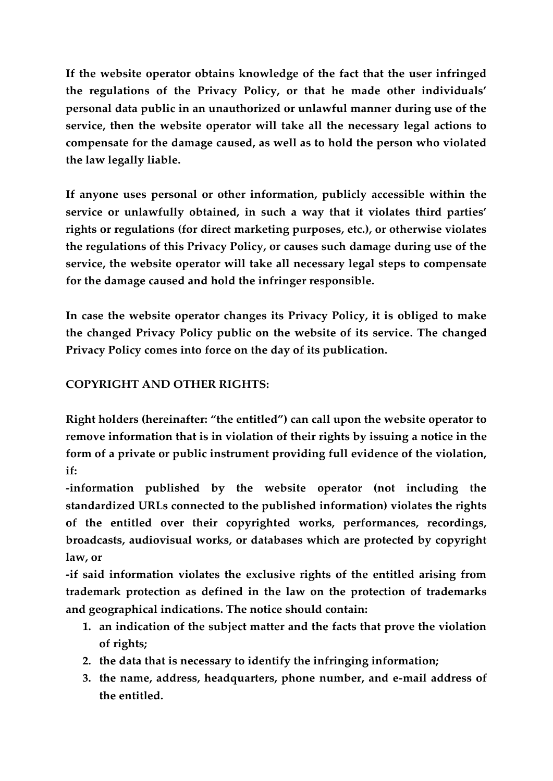**If the website operator obtains knowledge of the fact that the user infringed the regulations of the Privacy Policy, or that he made other individuals' personal data public in an unauthorized or unlawful manner during use of the service, then the website operator will take all the necessary legal actions to compensate for the damage caused, as well as to hold the person who violated the law legally liable.**

**If anyone uses personal or other information, publicly accessible within the service or unlawfully obtained, in such a way that it violates third parties' rights or regulations (for direct marketing purposes, etc.), or otherwise violates the regulations of this Privacy Policy, or causes such damage during use of the service, the website operator will take all necessary legal steps to compensate for the damage caused and hold the infringer responsible.**

**In case the website operator changes its Privacy Policy, it is obliged to make the changed Privacy Policy public on the website of its service. The changed Privacy Policy comes into force on the day of its publication.**

# **COPYRIGHT AND OTHER RIGHTS:**

**Right holders (hereinafter: "the entitled") can call upon the website operator to remove information that is in violation of their rights by issuing a notice in the form of a private or public instrument providing full evidence of the violation, if:**

**-information published by the website operator (not including the standardized URLs connected to the published information) violates the rights of the entitled over their copyrighted works, performances, recordings, broadcasts, audiovisual works, or databases which are protected by copyright law, or**

**-if said information violates the exclusive rights of the entitled arising from trademark protection as defined in the law on the protection of trademarks and geographical indications. The notice should contain:** 

- **1. an indication of the subject matter and the facts that prove the violation of rights;**
- **2. the data that is necessary to identify the infringing information;**
- **3. the name, address, headquarters, phone number, and e-mail address of the entitled.**